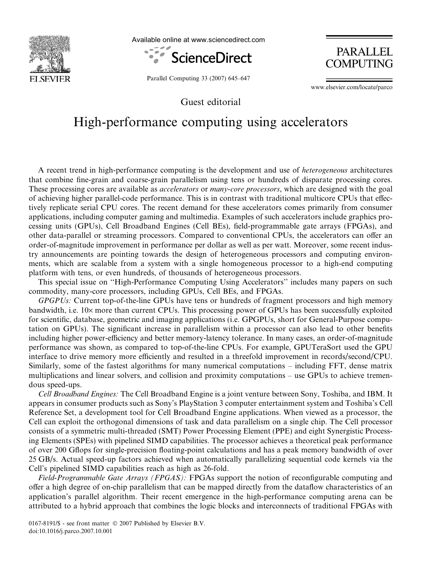

Available online at www.sciencedirect.com



**PARALLEL COMPUTING** 

Parallel Computing 33 (2007) 645–647

www.elsevier.com/locate/parco

Guest editorial

## High-performance computing using accelerators

A recent trend in high-performance computing is the development and use of heterogeneous architectures that combine fine-grain and coarse-grain parallelism using tens or hundreds of disparate processing cores. These processing cores are available as accelerators or many-core processors, which are designed with the goal of achieving higher parallel-code performance. This is in contrast with traditional multicore CPUs that effectively replicate serial CPU cores. The recent demand for these accelerators comes primarily from consumer applications, including computer gaming and multimedia. Examples of such accelerators include graphics processing units (GPUs), Cell Broadband Engines (Cell BEs), field-programmable gate arrays (FPGAs), and other data-parallel or streaming processors. Compared to conventional CPUs, the accelerators can offer an order-of-magnitude improvement in performance per dollar as well as per watt. Moreover, some recent industry announcements are pointing towards the design of heterogeneous processors and computing environments, which are scalable from a system with a single homogeneous processor to a high-end computing platform with tens, or even hundreds, of thousands of heterogeneous processors.

This special issue on ''High-Performance Computing Using Accelerators'' includes many papers on such commodity, many-core processors, including GPUs, Cell BEs, and FPGAs.

GPGPUs: Current top-of-the-line GPUs have tens or hundreds of fragment processors and high memory bandwidth, i.e.  $10\times$  more than current CPUs. This processing power of GPUs has been successfully exploited for scientific, database, geometric and imaging applications (i.e. GPGPUs, short for General-Purpose computation on GPUs). The significant increase in parallelism within a processor can also lead to other benefits including higher power-efficiency and better memory-latency tolerance. In many cases, an order-of-magnitude performance was shown, as compared to top-of-the-line CPUs. For example, GPUTeraSort used the GPU interface to drive memory more efficiently and resulted in a threefold improvement in records/second/CPU. Similarly, some of the fastest algorithms for many numerical computations – including FFT, dense matrix multiplications and linear solvers, and collision and proximity computations – use GPUs to achieve tremendous speed-ups.

Cell Broadband Engines: The Cell Broadband Engine is a joint venture between Sony, Toshiba, and IBM. It appears in consumer products such as Sony's PlayStation 3 computer entertainment system and Toshiba's Cell Reference Set, a development tool for Cell Broadband Engine applications. When viewed as a processor, the Cell can exploit the orthogonal dimensions of task and data parallelism on a single chip. The Cell processor consists of a symmetric multi-threaded (SMT) Power Processing Element (PPE) and eight Synergistic Processing Elements (SPEs) with pipelined SIMD capabilities. The processor achieves a theoretical peak performance of over 200 Gflops for single-precision floating-point calculations and has a peak memory bandwidth of over 25 GB/s. Actual speed-up factors achieved when automatically parallelizing sequential code kernels via the Cell's pipelined SIMD capabilities reach as high as 26-fold.

Field-Programmable Gate Arrays (FPGAS): FPGAs support the notion of reconfigurable computing and offer a high degree of on-chip parallelism that can be mapped directly from the dataflow characteristics of an application's parallel algorithm. Their recent emergence in the high-performance computing arena can be attributed to a hybrid approach that combines the logic blocks and interconnects of traditional FPGAs with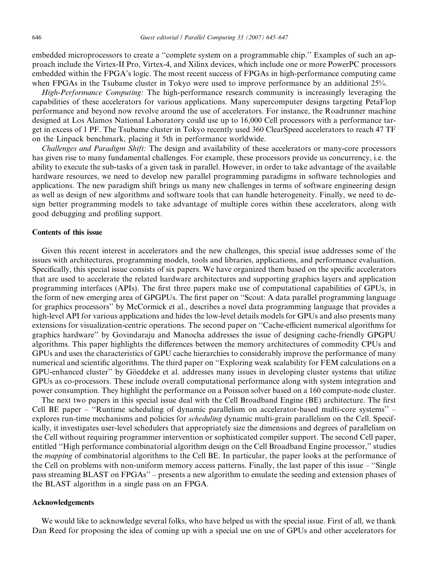embedded microprocessors to create a ''complete system on a programmable chip.'' Examples of such an approach include the Virtex-II Pro, Virtex-4, and Xilinx devices, which include one or more PowerPC processors embedded within the FPGA's logic. The most recent success of FPGAs in high-performance computing came when FPGAs in the Tsubame cluster in Tokyo were used to improve performance by an additional 25%.

High-Performance Computing: The high-performance research community is increasingly leveraging the capabilities of these accelerators for various applications. Many supercomputer designs targeting PetaFlop performance and beyond now revolve around the use of accelerators. For instance, the Roadrunner machine designed at Los Alamos National Laboratory could use up to 16,000 Cell processors with a performance target in excess of 1 PF. The Tsubame cluster in Tokyo recently used 360 ClearSpeed accelerators to reach 47 TF on the Linpack benchmark, placing it 5th in performance worldwide.

Challenges and Paradigm Shift: The design and availability of these accelerators or many-core processors has given rise to many fundamental challenges. For example, these processors provide us concurrency, i.e. the ability to execute the sub-tasks of a given task in parallel. However, in order to take advantage of the available hardware resources, we need to develop new parallel programming paradigms in software technologies and applications. The new paradigm shift brings us many new challenges in terms of software engineering design as well as design of new algorithms and software tools that can handle heterogeneity. Finally, we need to design better programming models to take advantage of multiple cores within these accelerators, along with good debugging and profiling support.

## Contents of this issue

Given this recent interest in accelerators and the new challenges, this special issue addresses some of the issues with architectures, programming models, tools and libraries, applications, and performance evaluation. Specifically, this special issue consists of six papers. We have organized them based on the specific accelerators that are used to accelerate the related hardware architectures and supporting graphics layers and application programming interfaces (APIs). The first three papers make use of computational capabilities of GPUs, in the form of new emerging area of GPGPUs. The first paper on ''Scout: A data parallel programming language for graphics processors'' by McCormick et al., describes a novel data programming language that provides a high-level API for various applications and hides the low-level details models for GPUs and also presents many extensions for visualization-centric operations. The second paper on ''Cache-efficient numerical algorithms for graphics hardware'' by Govindaraju and Manocha addresses the issue of designing cache-friendly GPGPU algorithms. This paper highlights the differences between the memory architectures of commodity CPUs and GPUs and uses the characteristics of GPU cache hierarchies to considerably improve the performance of many numerical and scientific algorithms. The third paper on ''Exploring weak scalability for FEM calculations on a GPU-enhanced cluster" by Göeddeke et al. addresses many issues in developing cluster systems that utilize GPUs as co-processors. These include overall computational performance along with system integration and power consumption. They highlight the performance on a Poisson solver based on a 160 compute-node cluster.

The next two papers in this special issue deal with the Cell Broadband Engine (BE) architecture. The first Cell BE paper – ''Runtime scheduling of dynamic parallelism on accelerator-based multi-core systems'' – explores run-time mechanisms and policies for *scheduling* dynamic multi-grain parallelism on the Cell. Specifically, it investigates user-level schedulers that appropriately size the dimensions and degrees of parallelism on the Cell without requiring programmer intervention or sophisticated compiler support. The second Cell paper, entitled ''High performance combinatorial algorithm design on the Cell Broadband Engine processor,'' studies the *mapping* of combinatorial algorithms to the Cell BE. In particular, the paper looks at the performance of the Cell on problems with non-uniform memory access patterns. Finally, the last paper of this issue – ''Single pass streaming BLAST on FPGAs'' – presents a new algorithm to emulate the seeding and extension phases of the BLAST algorithm in a single pass on an FPGA.

## Acknowledgements

We would like to acknowledge several folks, who have helped us with the special issue. First of all, we thank Dan Reed for proposing the idea of coming up with a special use on use of GPUs and other accelerators for